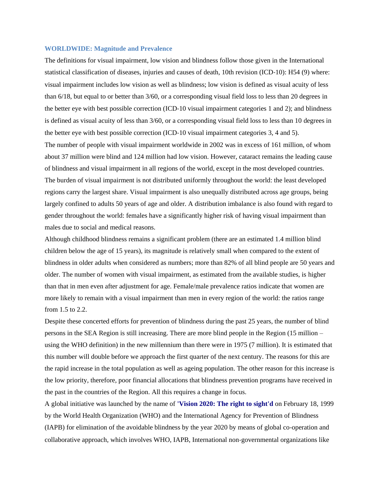#### **WORLDWIDE: Magnitude and Prevalence**

The definitions for visual impairment, low vision and blindness follow those given in the International statistical classification of diseases, injuries and causes of death, 10th revision (ICD-10): H54 (9) where: visual impairment includes low vision as well as blindness; low vision is defined as visual acuity of less than 6/18, but equal to or better than 3/60, or a corresponding visual field loss to less than 20 degrees in the better eye with best possible correction (ICD‐10 visual impairment categories 1 and 2); and blindness is defined as visual acuity of less than 3/60, or a corresponding visual field loss to less than 10 degrees in the better eye with best possible correction (ICD‐10 visual impairment categories 3, 4 and 5).

The number of people with visual impairment worldwide in 2002 was in excess of 161 million, of whom about 37 million were blind and 124 million had low vision. However, cataract remains the leading cause of blindness and visual impairment in all regions of the world, except in the most developed countries. The burden of visual impairment is not distributed uniformly throughout the world: the least developed regions carry the largest share. Visual impairment is also unequally distributed across age groups, being largely confined to adults 50 years of age and older. A distribution imbalance is also found with regard to gender throughout the world: females have a significantly higher risk of having visual impairment than males due to social and medical reasons.

Although childhood blindness remains a significant problem (there are an estimated 1.4 million blind children below the age of 15 years), its magnitude is relatively small when compared to the extent of blindness in older adults when considered as numbers; more than 82% of all blind people are 50 years and older. The number of women with visual impairment, as estimated from the available studies, is higher than that in men even after adjustment for age. Female/male prevalence ratios indicate that women are more likely to remain with a visual impairment than men in every region of the world: the ratios range from 1.5 to 2.2.

Despite these concerted efforts for prevention of blindness during the past 25 years, the number of blind persons in the SEA Region is still increasing. There are more blind people in the Region (15 million – using the WHO definition) in the new millennium than there were in 1975 (7 million). It is estimated that this number will double before we approach the first quarter of the next century. The reasons for this are the rapid increase in the total population as well as ageing population. The other reason for this increase is the low priority, therefore, poor financial allocations that blindness prevention programs have received in the past in the countries of the Region. All this requires a change in focus.

A global initiative was launched by the name of **'Vision 2020: The right to sight'd** on February 18, 1999 by the World Health Organization (WHO) and the International Agency for Prevention of Blindness (IAPB) for elimination of the avoidable blindness by the year 2020 by means of global co‐operation and collaborative approach, which involves WHO, IAPB, International non‐governmental organizations like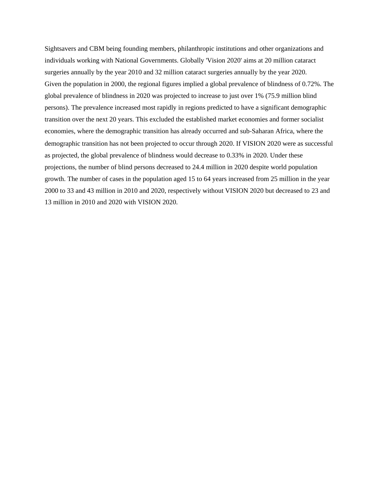Sightsavers and CBM being founding members, philanthropic institutions and other organizations and individuals working with National Governments. Globally 'Vision 2020' aims at 20 million cataract surgeries annually by the year 2010 and 32 million cataract surgeries annually by the year 2020. Given the population in 2000, the regional figures implied a global prevalence of blindness of 0.72%. The global prevalence of blindness in 2020 was projected to increase to just over 1% (75.9 million blind persons). The prevalence increased most rapidly in regions predicted to have a significant demographic transition over the next 20 years. This excluded the established market economies and former socialist economies, where the demographic transition has already occurred and sub‐Saharan Africa, where the demographic transition has not been projected to occur through 2020. If VISION 2020 were as successful as projected, the global prevalence of blindness would decrease to 0.33% in 2020. Under these projections, the number of blind persons decreased to 24.4 million in 2020 despite world population growth. The number of cases in the population aged 15 to 64 years increased from 25 million in the year 2000 to 33 and 43 million in 2010 and 2020, respectively without VISION 2020 but decreased to 23 and 13 million in 2010 and 2020 with VISION 2020.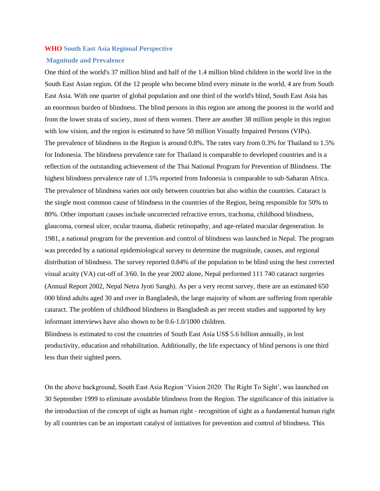#### **WHO South East Asia Regional Perspective**

#### **Magnitude and Prevalence**

One third of the world's 37 million blind and half of the 1.4 million blind children in the world live in the South East Asian region. Of the 12 people who become blind every minute in the world, 4 are from South East Asia. With one quarter of global population and one third of the world's blind, South East Asia has an enormous burden of blindness. The blind persons in this region are among the poorest in the world and from the lower strata of society, most of them women. There are another 38 million people in this region with low vision, and the region is estimated to have 50 million Visually Impaired Persons (VIPs). The prevalence of blindness in the Region is around 0.8%. The rates vary from 0.3% for Thailand to 1.5% for Indonesia. The blindness prevalence rate for Thailand is comparable to developed countries and is a reflection of the outstanding achievement of the Thai National Program for Prevention of Blindness. The highest blindness prevalence rate of 1.5% reported from Indonesia is comparable to sub-Saharan Africa. The prevalence of blindness varies not only between countries but also within the countries. Cataract is the single most common cause of blindness in the countries of the Region, being responsible for 50% to 80%. Other important causes include uncorrected refractive errors, trachoma, childhood blindness, glaucoma, corneal ulcer, ocular trauma, diabetic retinopathy, and age-related macular degeneration. In 1981, a national program for the prevention and control of blindness was launched in Nepal. The program was preceded by a national epidemiological survey to determine the magnitude, causes, and regional distribution of blindness. The survey reported 0.84% of the population to be blind using the best corrected visual acuity (VA) cut‐off of 3/60. In the year 2002 alone, Nepal performed 111 740 cataract surgeries (Annual Report 2002, Nepal Netra Jyoti Sangh). As per a very recent survey, there are an estimated 650 000 blind adults aged 30 and over in Bangladesh, the large majority of whom are suffering from operable cataract. The problem of childhood blindness in Bangladesh as per recent studies and supported by key informant interviews have also shown to be 0.6‐1.0/1000 children.

Blindness is estimated to cost the countries of South East Asia US\$ 5.6 billion annually, in lost productivity, education and rehabilitation. Additionally, the life expectancy of blind persons is one third less than their sighted peers.

On the above background, South East Asia Region 'Vision 2020: The Right To Sight', was launched on 30 September 1999 to eliminate avoidable blindness from the Region. The significance of this initiative is the introduction of the concept of sight as human right ‐ recognition of sight as a fundamental human right by all countries can be an important catalyst of initiatives for prevention and control of blindness. This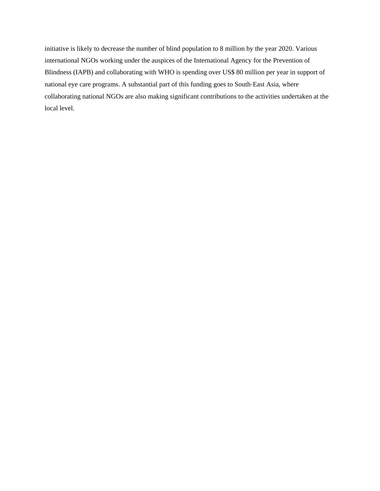initiative is likely to decrease the number of blind population to 8 million by the year 2020. Various international NGOs working under the auspices of the International Agency for the Prevention of Blindness (IAPB) and collaborating with WHO is spending over US\$ 80 million per year in support of national eye care programs. A substantial part of this funding goes to South‐East Asia, where collaborating national NGOs are also making significant contributions to the activities undertaken at the local level.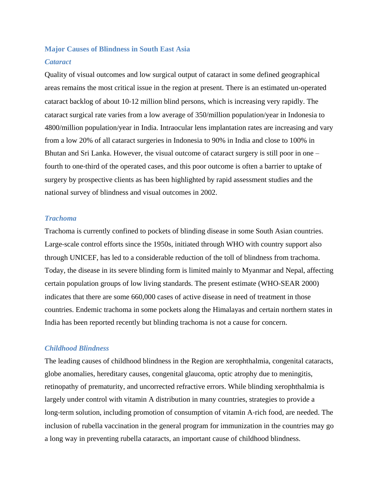# **Major Causes of Blindness in South East Asia** *Cataract*

Quality of visual outcomes and low surgical output of cataract in some defined geographical areas remains the most critical issue in the region at present. There is an estimated un‐operated cataract backlog of about 10‐12 million blind persons, which is increasing very rapidly. The cataract surgical rate varies from a low average of 350/million population/year in Indonesia to 4800/million population/year in India. Intraocular lens implantation rates are increasing and vary from a low 20% of all cataract surgeries in Indonesia to 90% in India and close to 100% in Bhutan and Sri Lanka. However, the visual outcome of cataract surgery is still poor in one – fourth to one-third of the operated cases, and this poor outcome is often a barrier to uptake of surgery by prospective clients as has been highlighted by rapid assessment studies and the national survey of blindness and visual outcomes in 2002.

# *Trachoma*

Trachoma is currently confined to pockets of blinding disease in some South Asian countries. Large‐scale control efforts since the 1950s, initiated through WHO with country support also through UNICEF, has led to a considerable reduction of the toll of blindness from trachoma. Today, the disease in its severe blinding form is limited mainly to Myanmar and Nepal, affecting certain population groups of low living standards. The present estimate (WHO‐SEAR 2000) indicates that there are some 660,000 cases of active disease in need of treatment in those countries. Endemic trachoma in some pockets along the Himalayas and certain northern states in India has been reported recently but blinding trachoma is not a cause for concern.

# *Childhood Blindness*

The leading causes of childhood blindness in the Region are xerophthalmia, congenital cataracts, globe anomalies, hereditary causes, congenital glaucoma, optic atrophy due to meningitis, retinopathy of prematurity, and uncorrected refractive errors. While blinding xerophthalmia is largely under control with vitamin A distribution in many countries, strategies to provide a long-term solution, including promotion of consumption of vitamin A-rich food, are needed. The inclusion of rubella vaccination in the general program for immunization in the countries may go a long way in preventing rubella cataracts, an important cause of childhood blindness.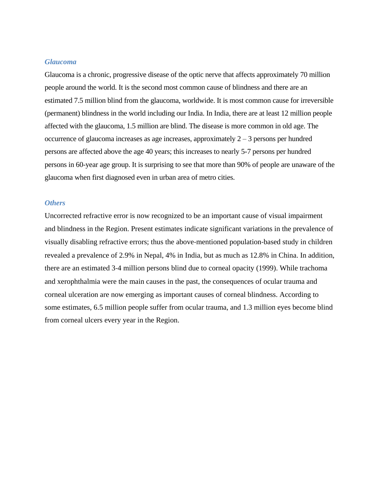# *Glaucoma*

Glaucoma is a chronic, progressive disease of the optic nerve that affects approximately 70 million people around the world. It is the second most common cause of blindness and there are an estimated 7.5 million blind from the glaucoma, worldwide. It is most common cause for irreversible (permanent) blindness in the world including our India. In India, there are at least 12 million people affected with the glaucoma, 1.5 million are blind. The disease is more common in old age. The occurrence of glaucoma increases as age increases, approximately 2 – 3 persons per hundred persons are affected above the age 40 years; this increases to nearly 5-7 persons per hundred persons in 60-year age group. It is surprising to see that more than 90% of people are unaware of the glaucoma when first diagnosed even in urban area of metro cities.

### *Others*

Uncorrected refractive error is now recognized to be an important cause of visual impairment and blindness in the Region. Present estimates indicate significant variations in the prevalence of visually disabling refractive errors; thus the above‐mentioned population‐based study in children revealed a prevalence of 2.9% in Nepal, 4% in India, but as much as 12.8% in China. In addition, there are an estimated 3‐4 million persons blind due to corneal opacity (1999). While trachoma and xerophthalmia were the main causes in the past, the consequences of ocular trauma and corneal ulceration are now emerging as important causes of corneal blindness. According to some estimates, 6.5 million people suffer from ocular trauma, and 1.3 million eyes become blind from corneal ulcers every year in the Region.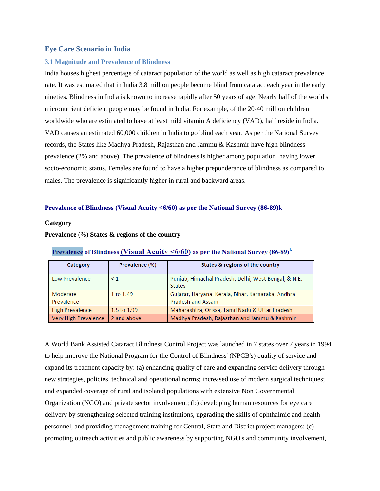### **Eye Care Scenario in India**

#### **3.1 Magnitude and Prevalence of Blindness**

India houses highest percentage of cataract population of the world as well as high cataract prevalence rate. It was estimated that in India 3.8 million people become blind from cataract each year in the early nineties. Blindness in India is known to increase rapidly after 50 years of age. Nearly half of the world's micronutrient deficient people may be found in India. For example, of the 20‐40 million children worldwide who are estimated to have at least mild vitamin A deficiency (VAD), half reside in India. VAD causes an estimated 60,000 children in India to go blind each year. As per the National Survey records, the States like Madhya Pradesh, Rajasthan and Jammu & Kashmir have high blindness prevalence (2% and above). The prevalence of blindness is higher among population having lower socio‐economic status. Females are found to have a higher preponderance of blindness as compared to males. The prevalence is significantly higher in rural and backward areas.

#### **Prevalence of Blindness (Visual Acuity <6/60) as per the National Survey (86-89)k**

#### **Category**

#### **Prevalence** (%) **States & regions of the country**

| Category                           | Prevalence (%) | States & regions of the country                                       |
|------------------------------------|----------------|-----------------------------------------------------------------------|
| Low Prevalence                     | $\leq 1$       | Punjab, Himachal Pradesh, Delhi, West Bengal, & N.E.<br><b>States</b> |
| Moderate                           | 1 to 1.49      | Gujarat, Haryana, Kerala, Bihar, Karnataka, Andhra                    |
| Prevalence                         |                | <b>Pradesh and Assam</b>                                              |
| High Prevalence                    | 1.5 to 1.99    | Maharashtra, Orissa, Tamil Nadu & Uttar Pradesh                       |
| Very High Prevalence   2 and above |                | Madhya Pradesh, Rajasthan and Jammu & Kashmir                         |

#### Prevalence of Blindness (Visual Acuity  $\leq 6/60$ ) as per the National Survey (86-89)<sup>k</sup>

A World Bank Assisted Cataract Blindness Control Project was launched in 7 states over 7 years in 1994 to help improve the National Program for the Control of Blindness' (NPCB's) quality of service and expand its treatment capacity by: (a) enhancing quality of care and expanding service delivery through new strategies, policies, technical and operational norms; increased use of modern surgical techniques; and expanded coverage of rural and isolated populations with extensive Non Governmental Organization (NGO) and private sector involvement; (b) developing human resources for eye care delivery by strengthening selected training institutions, upgrading the skills of ophthalmic and health personnel, and providing management training for Central, State and District project managers; (c) promoting outreach activities and public awareness by supporting NGO's and community involvement,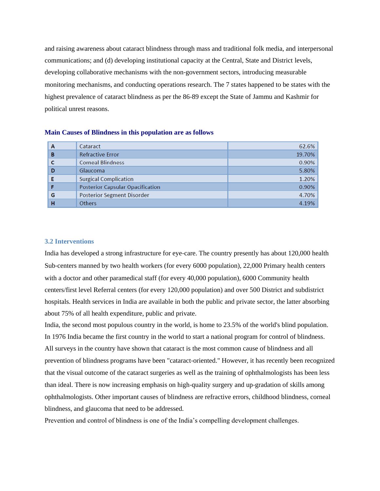and raising awareness about cataract blindness through mass and traditional folk media, and interpersonal communications; and (d) developing institutional capacity at the Central, State and District levels, developing collaborative mechanisms with the non‐government sectors, introducing measurable monitoring mechanisms, and conducting operations research. The 7 states happened to be states with the highest prevalence of cataract blindness as per the 86‐89 except the State of Jammu and Kashmir for political unrest reasons.

| A | Cataract                                | 62.6%  |
|---|-----------------------------------------|--------|
| в | <b>Refractive Error</b>                 | 19.70% |
|   | <b>Corneal Blindness</b>                | 0.90%  |
| D | Glaucoma                                | 5.80%  |
|   | <b>Surgical Complication</b>            | 1.20%  |
|   | <b>Posterior Capsular Opacification</b> | 0.90%  |
| G | <b>Posterior Segment Disorder</b>       | 4.70%  |
| н | <b>Others</b>                           | 4.19%  |

#### **Main Causes of Blindness in this population are as follows**

#### **3.2 Interventions**

India has developed a strong infrastructure for eye-care. The country presently has about 120,000 health Sub-centers manned by two health workers (for every 6000 population), 22,000 Primary health centers with a doctor and other paramedical staff (for every 40,000 population), 6000 Community health centers/first level Referral centers (for every 120,000 population) and over 500 District and subdistrict hospitals. Health services in India are available in both the public and private sector, the latter absorbing about 75% of all health expenditure, public and private.

India, the second most populous country in the world, is home to 23.5% of the world's blind population. In 1976 India became the first country in the world to start a national program for control of blindness. All surveys in the country have shown that cataract is the most common cause of blindness and all prevention of blindness programs have been "cataract‐oriented." However, it has recently been recognized that the visual outcome of the cataract surgeries as well as the training of ophthalmologists has been less than ideal. There is now increasing emphasis on high‐quality surgery and up‐gradation of skills among ophthalmologists. Other important causes of blindness are refractive errors, childhood blindness, corneal blindness, and glaucoma that need to be addressed.

Prevention and control of blindness is one of the India's compelling development challenges.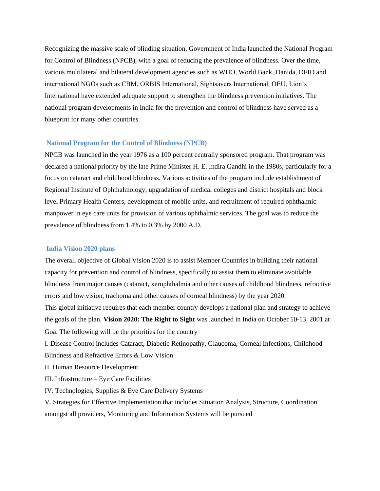Recognizing the massive scale of blinding situation, Government of India launched the National Program for Control of Blindness (NPCB), with a goal of reducing the prevalence of blindness. Over the time, various multilateral and bilateral development agencies such as WHO, World Bank, Danida, DFID and international NGOs such as CBM, ORBIS International, Sightsavers International, OEU, Lion's International have extended adequate support to strengthen the blindness prevention initiatives. The national program developments in India for the prevention and control of blindness have served as a blueprint for many other countries.

#### **National Program for the Control of Blindness (NPCB)**

NPCB was launched in the year 1976 as a 100 percent centrally sponsored program. That program was declared a national priority by the late Prime Minister H. E. Indira Gandhi in the 1980s, particularly for a focus on cataract and childhood blindness. Various activities of the program include establishment of Regional Institute of Ophthalmology, upgradation of medical colleges and district hospitals and block level Primary Health Centers, development of mobile units, and recruitment of required ophthalmic manpower in eye care units for provision of various ophthalmic services. The goal was to reduce the prevalence of blindness from 1.4% to 0.3% by 2000 A.D.

#### **India Vision 2020 plans**

The overall objective of Global Vision 2020 is to assist Member Countries in building their national capacity for prevention and control of blindness, specifically to assist them to eliminate avoidable blindness from major causes (cataract, xerophthalmia and other causes of childhood blindness, refractive errors and low vision, trachoma and other causes of corneal blindness) by the year 2020. This global initiative requires that each member country develops a national plan and strategy to achieve the goals of the plan. **Vision 2020: The Right to Sight** was launched in India on October 10‐13, 2001 at Goa. The following will be the priorities for the country

I. Disease Control includes Cataract, Diabetic Retinopathy, Glaucoma, Corneal Infections, Childhood Blindness and Refractive Errors & Low Vision

II. Human Resource Development

III. Infrastructure – Eye Care Facilities

IV. Technologies, Supplies & Eye Care Delivery Systems

V. Strategies for Effective Implementation that includes Situation Analysis, Structure, Coordination amongst all providers, Monitoring and Information Systems will be pursued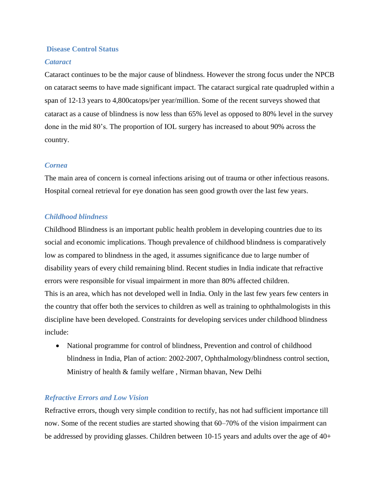# **Disease Control Status**

# *Cataract*

Cataract continues to be the major cause of blindness. However the strong focus under the NPCB on cataract seems to have made significant impact. The cataract surgical rate quadrupled within a span of 12-13 years to 4,800catops/per year/million. Some of the recent surveys showed that cataract as a cause of blindness is now less than 65% level as opposed to 80% level in the survey done in the mid 80's. The proportion of IOL surgery has increased to about 90% across the country.

# *Cornea*

The main area of concern is corneal infections arising out of trauma or other infectious reasons. Hospital corneal retrieval for eye donation has seen good growth over the last few years.

# *Childhood blindness*

Childhood Blindness is an important public health problem in developing countries due to its social and economic implications. Though prevalence of childhood blindness is comparatively low as compared to blindness in the aged, it assumes significance due to large number of disability years of every child remaining blind. Recent studies in India indicate that refractive errors were responsible for visual impairment in more than 80% affected children. This is an area, which has not developed well in India. Only in the last few years few centers in the country that offer both the services to children as well as training to ophthalmologists in this discipline have been developed. Constraints for developing services under childhood blindness include:

• National programme for control of blindness, Prevention and control of childhood blindness in India, Plan of action: 2002‐2007, Ophthalmology/blindness control section, Ministry of health & family welfare , Nirman bhavan, New Delhi

# *Refractive Errors and Low Vision*

Refractive errors, though very simple condition to rectify, has not had sufficient importance till now. Some of the recent studies are started showing that 60–70% of the vision impairment can be addressed by providing glasses. Children between 10‐15 years and adults over the age of 40+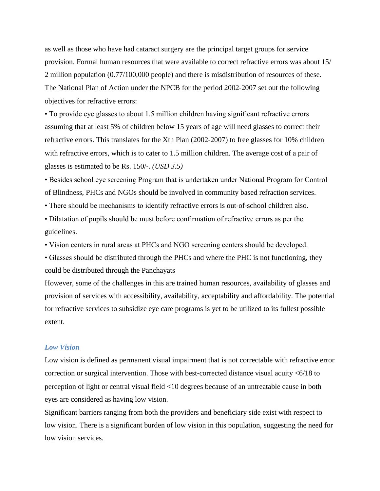as well as those who have had cataract surgery are the principal target groups for service provision. Formal human resources that were available to correct refractive errors was about 15/ 2 million population (0.77/100,000 people) and there is misdistribution of resources of these. The National Plan of Action under the NPCB for the period 2002‐2007 set out the following objectives for refractive errors:

• To provide eye glasses to about 1.5 million children having significant refractive errors assuming that at least 5% of children below 15 years of age will need glasses to correct their refractive errors. This translates for the Xth Plan (2002‐2007) to free glasses for 10% children with refractive errors, which is to cater to 1.5 million children. The average cost of a pair of glasses is estimated to be Rs. 150/‐. *(USD 3.5)*

• Besides school eye screening Program that is undertaken under National Program for Control of Blindness, PHCs and NGOs should be involved in community based refraction services.

• There should be mechanisms to identify refractive errors is out-of-school children also.

• Dilatation of pupils should be must before confirmation of refractive errors as per the guidelines.

• Vision centers in rural areas at PHCs and NGO screening centers should be developed.

• Glasses should be distributed through the PHCs and where the PHC is not functioning, they could be distributed through the Panchayats

However, some of the challenges in this are trained human resources, availability of glasses and provision of services with accessibility, availability, acceptability and affordability. The potential for refractive services to subsidize eye care programs is yet to be utilized to its fullest possible extent.

# *Low Vision*

Low vision is defined as permanent visual impairment that is not correctable with refractive error correction or surgical intervention. Those with best-corrected distance visual acuity <6/18 to perception of light or central visual field <10 degrees because of an untreatable cause in both eyes are considered as having low vision.

Significant barriers ranging from both the providers and beneficiary side exist with respect to low vision. There is a significant burden of low vision in this population, suggesting the need for low vision services.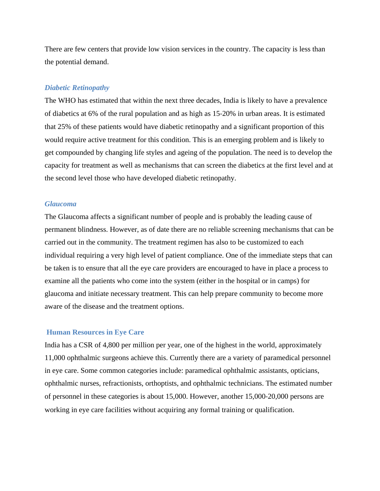There are few centers that provide low vision services in the country. The capacity is less than the potential demand.

#### *Diabetic Retinopathy*

The WHO has estimated that within the next three decades, India is likely to have a prevalence of diabetics at 6% of the rural population and as high as 15‐20% in urban areas. It is estimated that 25% of these patients would have diabetic retinopathy and a significant proportion of this would require active treatment for this condition. This is an emerging problem and is likely to get compounded by changing life styles and ageing of the population. The need is to develop the capacity for treatment as well as mechanisms that can screen the diabetics at the first level and at the second level those who have developed diabetic retinopathy.

### *Glaucoma*

The Glaucoma affects a significant number of people and is probably the leading cause of permanent blindness. However, as of date there are no reliable screening mechanisms that can be carried out in the community. The treatment regimen has also to be customized to each individual requiring a very high level of patient compliance. One of the immediate steps that can be taken is to ensure that all the eye care providers are encouraged to have in place a process to examine all the patients who come into the system (either in the hospital or in camps) for glaucoma and initiate necessary treatment. This can help prepare community to become more aware of the disease and the treatment options.

# **Human Resources in Eye Care**

India has a CSR of 4,800 per million per year, one of the highest in the world, approximately 11,000 ophthalmic surgeons achieve this. Currently there are a variety of paramedical personnel in eye care. Some common categories include: paramedical ophthalmic assistants, opticians, ophthalmic nurses, refractionists, orthoptists, and ophthalmic technicians. The estimated number of personnel in these categories is about 15,000. However, another 15,000‐20,000 persons are working in eye care facilities without acquiring any formal training or qualification.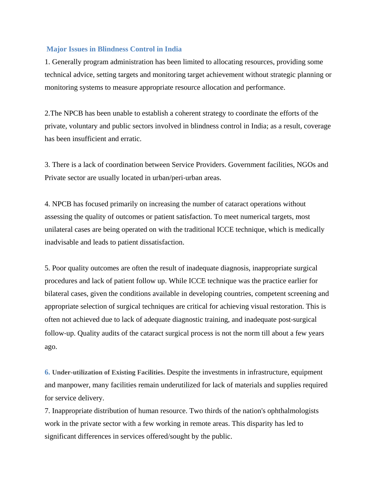# **Major Issues in Blindness Control in India**

1. Generally program administration has been limited to allocating resources, providing some technical advice, setting targets and monitoring target achievement without strategic planning or monitoring systems to measure appropriate resource allocation and performance.

2.The NPCB has been unable to establish a coherent strategy to coordinate the efforts of the private, voluntary and public sectors involved in blindness control in India; as a result, coverage has been insufficient and erratic.

3. There is a lack of coordination between Service Providers. Government facilities, NGOs and Private sector are usually located in urban/peri‐urban areas.

4. NPCB has focused primarily on increasing the number of cataract operations without assessing the quality of outcomes or patient satisfaction. To meet numerical targets, most unilateral cases are being operated on with the traditional ICCE technique, which is medically inadvisable and leads to patient dissatisfaction.

5. Poor quality outcomes are often the result of inadequate diagnosis, inappropriate surgical procedures and lack of patient follow up. While ICCE technique was the practice earlier for bilateral cases, given the conditions available in developing countries, competent screening and appropriate selection of surgical techniques are critical for achieving visual restoration. This is often not achieved due to lack of adequate diagnostic training, and inadequate post‐surgical follow-up. Quality audits of the cataract surgical process is not the norm till about a few years ago.

**6. Under-utilization of Existing Facilities.** Despite the investments in infrastructure, equipment and manpower, many facilities remain underutilized for lack of materials and supplies required for service delivery.

7. Inappropriate distribution of human resource. Two thirds of the nation's ophthalmologists work in the private sector with a few working in remote areas. This disparity has led to significant differences in services offered/sought by the public.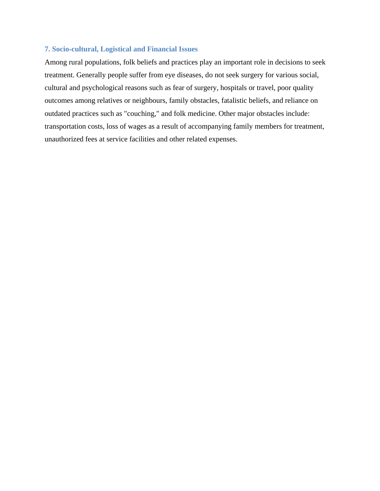# **7. Socio**‐**cultural, Logistical and Financial Issues**

Among rural populations, folk beliefs and practices play an important role in decisions to seek treatment. Generally people suffer from eye diseases, do not seek surgery for various social, cultural and psychological reasons such as fear of surgery, hospitals or travel, poor quality outcomes among relatives or neighbours, family obstacles, fatalistic beliefs, and reliance on outdated practices such as "couching," and folk medicine. Other major obstacles include: transportation costs, loss of wages as a result of accompanying family members for treatment, unauthorized fees at service facilities and other related expenses.